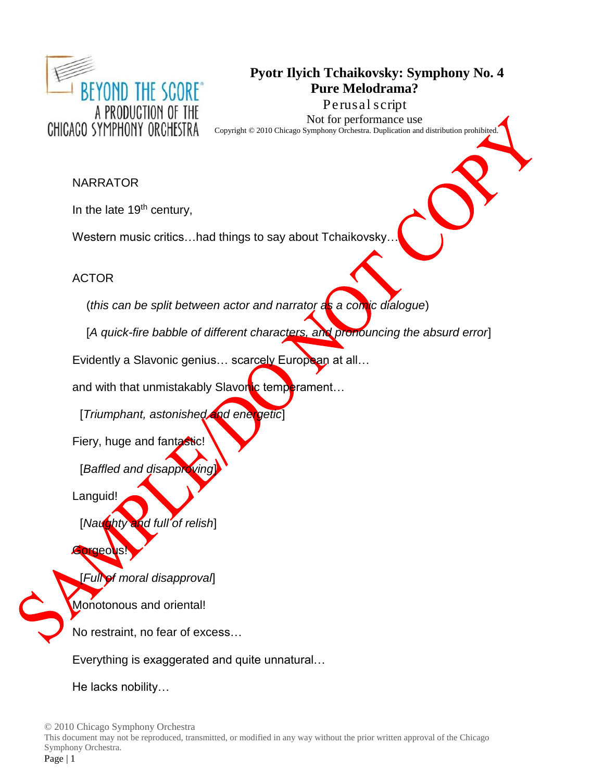

# **Pyotr Ilyich Tchaikovsky: Symphony No. 4 Pure Melodrama? Perusal script**

Not for performance use Copyright © 2010 Chicago Symphony Orchestra. Duplication and distribution prohibited.

### NARRATOR

In the late  $19<sup>th</sup>$  century,

Western music critics...had things to say about Tchaikovsky

ACTOR

(*this can be split between actor and narrator as a comic dialogue*)

[*A quick-fire babble of different characters, and pronouncing the absurd error*]

Evidently a Slavonic genius... scarcely European at all...

and with that unmistakably Slavonic temperament...

[*Triumphant, astonished and energetic*]

Fiery, huge and fantastic!

[*Baffled and disapproving* 

Languid!

[*Naughty and full of relish*]

# Gorgeous

[*Full of moral disapproval*]

Monotonous and oriental!

No restraint, no fear of excess…

Everything is exaggerated and quite unnatural…

He lacks nobility…

© 2010 Chicago Symphony Orchestra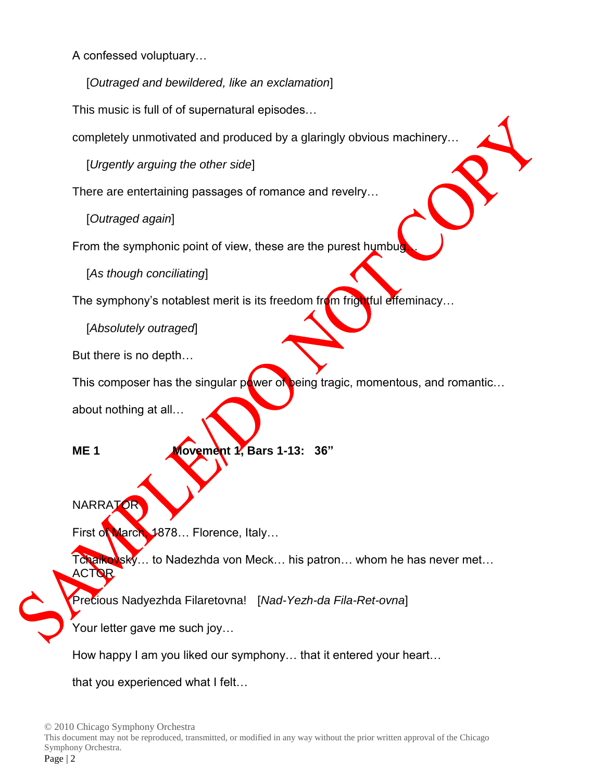A confessed voluptuary…

[*Outraged and bewildered, like an exclamation*]

This music is full of of supernatural episodes…

completely unmotivated and produced by a glaringly obvious machinery…

[*Urgently arguing the other side*]

There are entertaining passages of romance and revelry…

[*Outraged again*]

From the symphonic point of view, these are the purest humbu

[*As though conciliating*]

The symphony's notablest merit is its freedom from frightful effeminacy...

[*Absolutely outraged*]

But there is no depth…

This composer has the singular power of being tragic, momentous, and romantic...

about nothing at all…

**ME 1 Movement 1, Bars 1-13: 36"** 

**NARRATOR** 

First of March, 1878... Florence, Italy...

Tchaikovsky… to Nadezhda von Meck… his patron… whom he has never met... ACTOR

Precious Nadyezhda Filaretovna! [*Nad-Yezh-da Fila-Ret-ovna*]

Your letter gave me such joy…

How happy I am you liked our symphony… that it entered your heart…

that you experienced what I felt…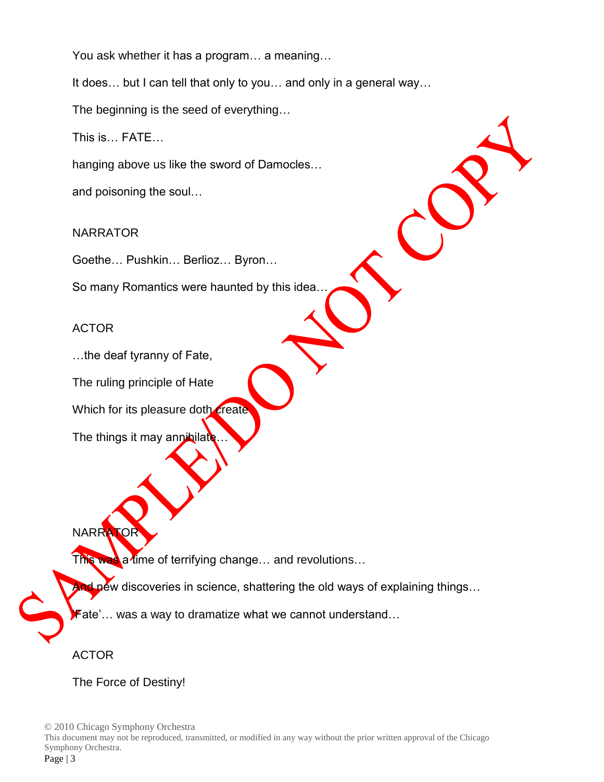You ask whether it has a program… a meaning…

It does... but I can tell that only to you... and only in a general way...

The beginning is the seed of everything…

This is… FATE…

hanging above us like the sword of Damocles…

and poisoning the soul…

NARRATOR

Goethe… Pushkin… Berlioz… Byron…

So many Romantics were haunted by this idea…

#### ACTOR

…the deaf tyranny of Fate,

The ruling principle of Hate

Which for its pleasure doth create

The things it may annihilate

NARRA

This was a time of terrifying change... and revolutions...

And new discoveries in science, shattering the old ways of explaining things...

Fate'... was a way to dramatize what we cannot understand...

ACTOR

The Force of Destiny!

© 2010 Chicago Symphony Orchestra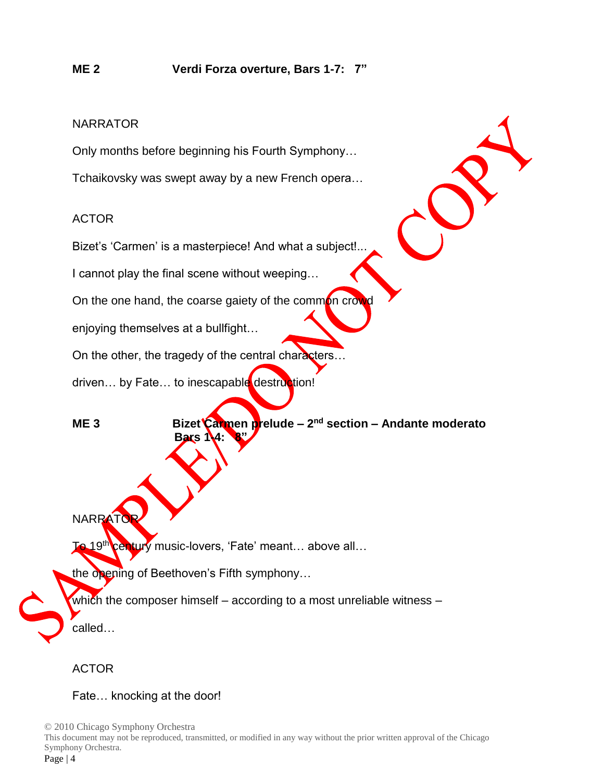Only months before beginning his Fourth Symphony…

Tchaikovsky was swept away by a new French opera…

# ACTOR

Bizet's 'Carmen' is a masterpiece! And what a subject!..

I cannot play the final scene without weeping…

On the one hand, the coarse gaiety of the common crow

enjoying themselves at a bullfight…

On the other, the tragedy of the central characters...

driven... by Fate... to inescapable destruction!

**ME 3** Bizet Carmen prelude – 2<sup>nd</sup> section – Andante moderato **Bars 14: 8"** 

**NARRAT** 

o 19<sup>th</sup> century music-lovers, 'Fate' meant... above all...

the opening of Beethoven's Fifth symphony…

which the composer himself – according to a most unreliable witness –

called…

# ACTOR

Fate… knocking at the door!

© 2010 Chicago Symphony Orchestra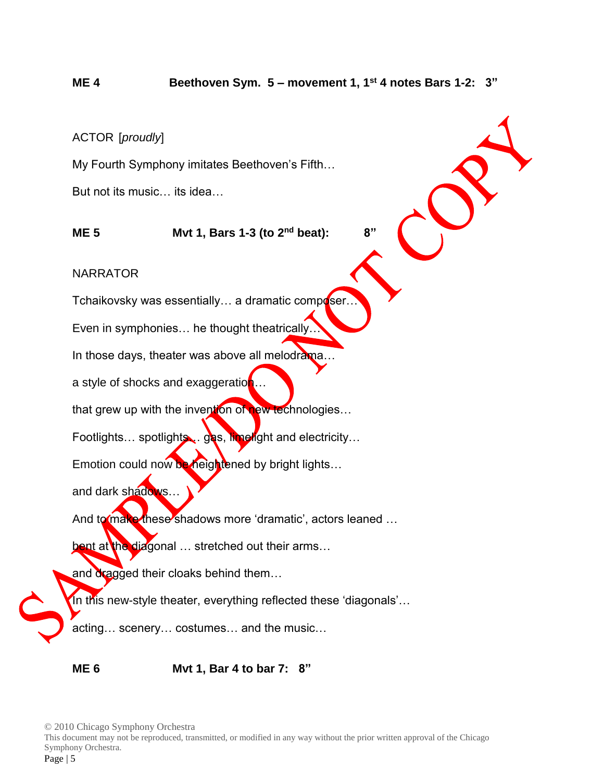# **ME 4 Beethoven Sym. 5 – movement 1, 1st 4 notes Bars 1-2: 3"**

#### ACTOR [*proudly*]

My Fourth Symphony imitates Beethoven's Fifth…

But not its music… its idea…

**ME 5 Mvt 1, Bars 1-3 (to 2nd beat): 8"**

#### NARRATOR

Tchaikovsky was essentially... a dramatic composer.

Even in symphonies… he thought theatrically…

In those days, theater was above all melodrama...

a style of shocks and exaggeration

that grew up with the invention of new technologies...

Footlights… spotlights ... gas, limelight and electricity…

Emotion could now be heightened by bright lights...

and dark shadows...

And to make these shadows more 'dramatic', actors leaned ...

bent at the diagonal ... stretched out their arms...

and dragged their cloaks behind them...

In this new-style theater, everything reflected these 'diagonals'…

acting… scenery… costumes… and the music…

**ME 6 Mvt 1, Bar 4 to bar 7: 8"**

© 2010 Chicago Symphony Orchestra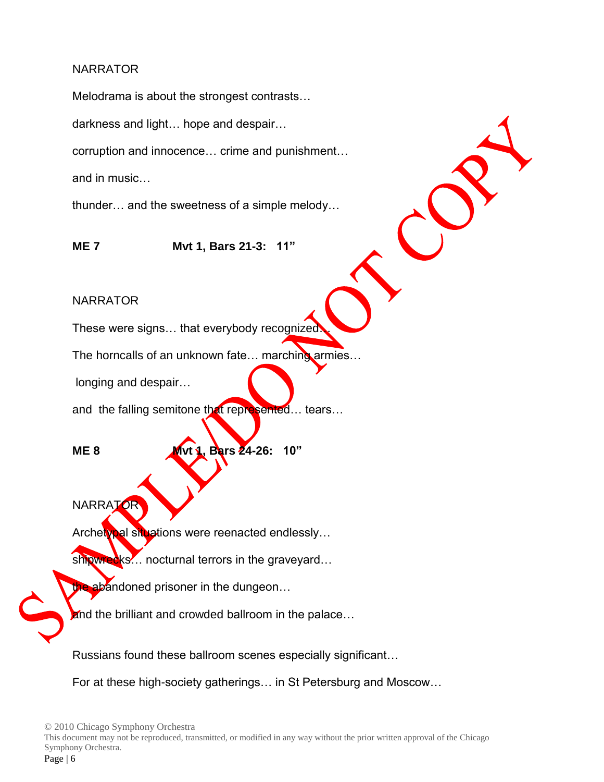Melodrama is about the strongest contrasts…

darkness and light… hope and despair…

corruption and innocence… crime and punishment…

and in music…

thunder… and the sweetness of a simple melody…

**ME 7 Mvt 1, Bars 21-3: 11"**

#### NARRATOR

These were signs… that everybody recognized…

The horncalls of an unknown fate... marching armies...

longing and despair…

and the falling semitone that represented... tears...

**ME 8 Mvt 1, Bars 24-26: 10"** 

**NARRATOR** 

Archetypal situations were reenacted endlessly...

shipwrecks... nocturnal terrors in the graveyard...

the abandoned prisoner in the dungeon...

and the brilliant and crowded ballroom in the palace...

Russians found these ballroom scenes especially significant…

For at these high-society gatherings… in St Petersburg and Moscow…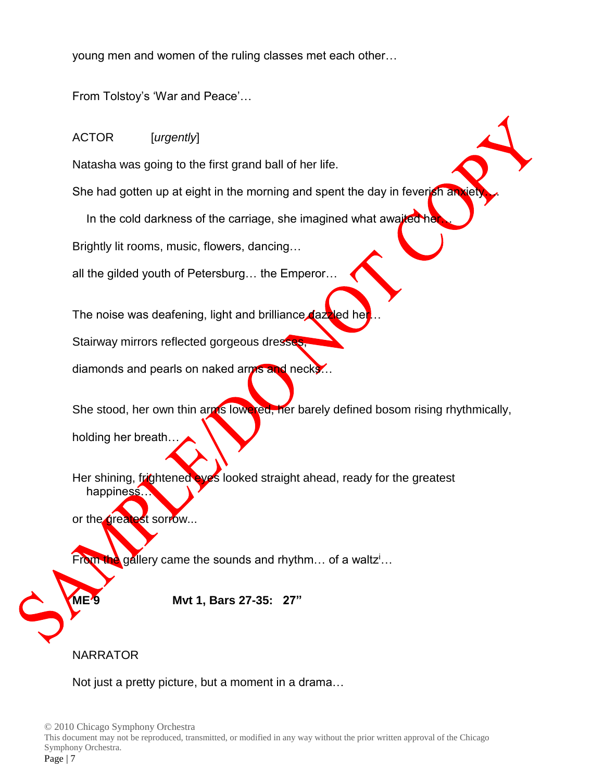young men and women of the ruling classes met each other…

From Tolstoy's 'War and Peace'…

# ACTOR [*urgently*]

Natasha was going to the first grand ball of her life.

She had gotten up at eight in the morning and spent the day in feverish an

In the cold darkness of the carriage, she imagined what awaited her

Brightly lit rooms, music, flowers, dancing…

all the gilded youth of Petersburg… the Emperor…

The noise was deafening, light and brilliance dazzled hel

Stairway mirrors reflected gorgeous dresses

diamonds and pearls on naked arms and necks...

She stood, her own thin arms lowered, her barely defined bosom rising rhythmically, holding her breath…

Her shining, frightened eyes looked straight ahead, ready for the greatest happiness…

or the greatest sorrow...

From the gallery came the sounds and rhythm... of a waltz<sup>i</sup>...

**ME 9 Mvt 1, Bars 27-35: 27"**

# NARRATOR

Not just a pretty picture, but a moment in a drama…

© 2010 Chicago Symphony Orchestra This document may not be reproduced, transmitted, or modified in any way without the prior written approval of the Chicago Symphony Orchestra. Page | 7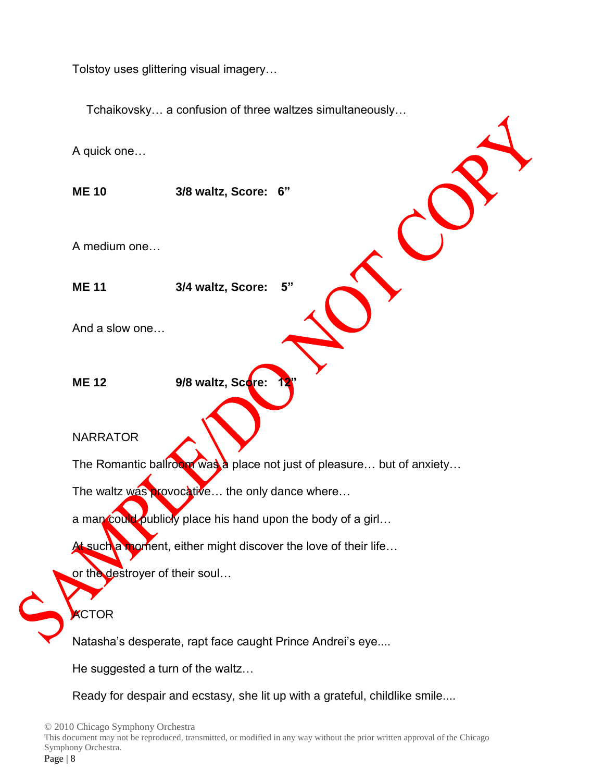Tolstoy uses glittering visual imagery…

Tchaikovsky… a confusion of three waltzes simultaneously…

A quick one…

**ME 10 3/8 waltz, Score: 6"**

A medium one…

**ME 11 3/4 waltz, Score: 5"**

And a slow one…

**ME 12** 9/8 waltz, Score:

NARRATOR

The Romantic ballroom was a place not just of pleasure... but of anxiety...

The waltz was provocative... the only dance where...

a man could publicly place his hand upon the body of a girl...

such a moment, either might discover the love of their life...

or the destroyer of their soul...

**KCTOR** 

Natasha's desperate, rapt face caught Prince Andrei's eye....

He suggested a turn of the waltz…

Ready for despair and ecstasy, she lit up with a grateful, childlike smile....

© 2010 Chicago Symphony Orchestra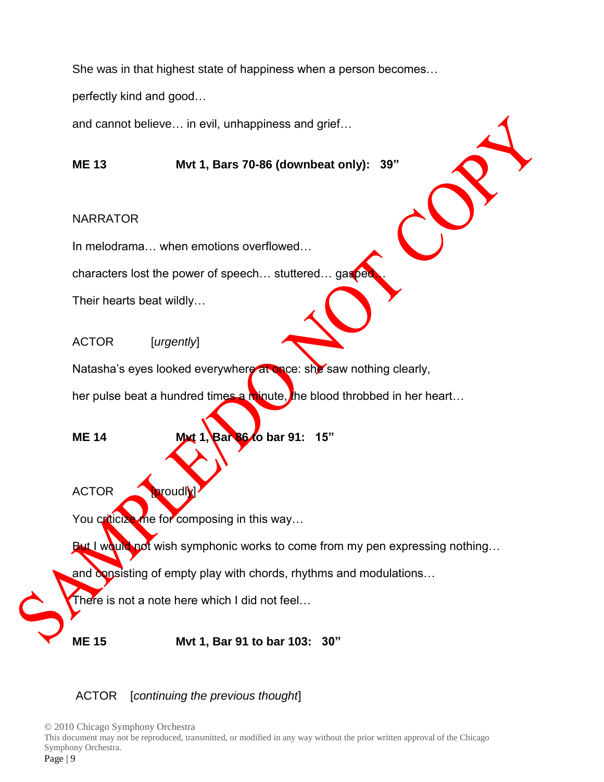She was in that highest state of happiness when a person becomes…

perfectly kind and good…

and cannot believe… in evil, unhappiness and grief…

**ME 13 Mvt 1, Bars 70-86 (downbeat only): 39"**

#### NARRATOR

In melodrama… when emotions overflowed…

characters lost the power of speech... stuttered... gasped

Their hearts beat wildly…

ACTOR [*urgently*]

Natasha's eyes looked everywhere at once: she saw nothing clearly,

her pulse beat a hundred times a minute, the blood throbbed in her heart...

**ME 14 Mxt 1, Bar 86/o bar 91: 15"** 

ACTOR **Droudly** 

You criticize me for composing in this way...

But I would not wish symphonic works to come from my pen expressing nothing...

and consisting of empty play with chords, rhythms and modulations...

There is not a note here which I did not feel…

**ME 15 Mvt 1, Bar 91 to bar 103: 30"**

ACTOR [*continuing the previous thought*]

© 2010 Chicago Symphony Orchestra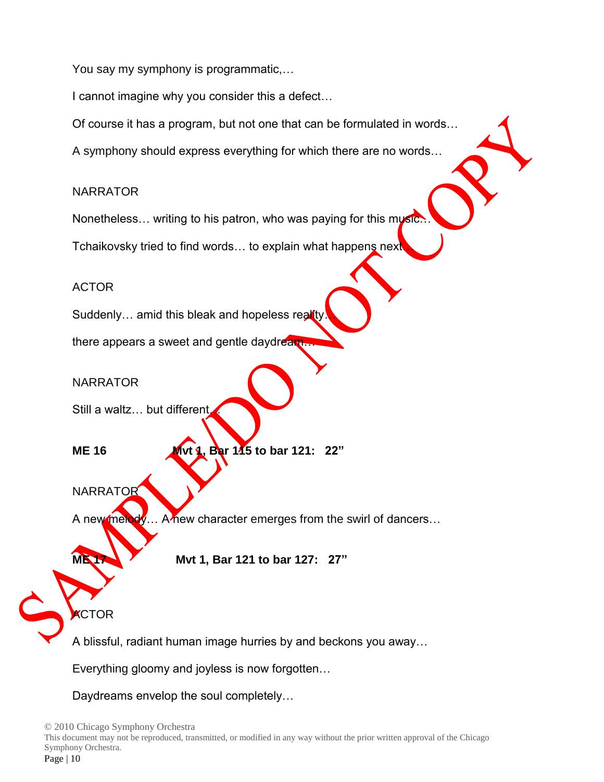You say my symphony is programmatic,…

I cannot imagine why you consider this a defect…

Of course it has a program, but not one that can be formulated in words…

A symphony should express everything for which there are no words…

### NARRATOR

Nonetheless... writing to his patron, who was paying for this music

Tchaikovsky tried to find words... to explain what happens next

# ACTOR

Suddenly... amid this bleak and hopeless reality

there appears a sweet and gentle daydream

# NARRATOR

Still a waltz... but different

**ME 16 Mvt 1, Bar 115 to bar 121: 22"** 

NARRATOR

A new melody… A new character emerges from the swirl of dancers…

**ME 17 Mvt 1, Bar 121 to bar 127: 27"** 

**KCTOR** 

A blissful, radiant human image hurries by and beckons you away…

Everything gloomy and joyless is now forgotten…

Daydreams envelop the soul completely…

© 2010 Chicago Symphony Orchestra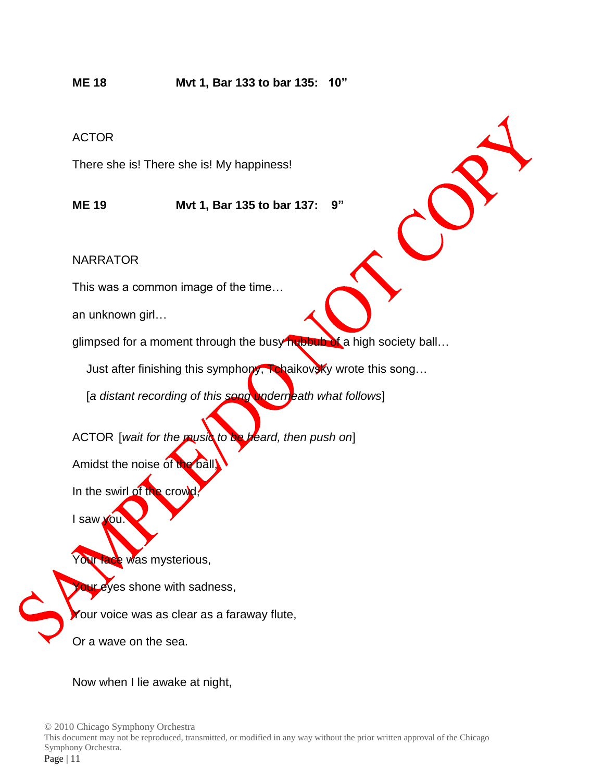# **ME 18 Mvt 1, Bar 133 to bar 135: 10"**

#### ACTOR

There she is! There she is! My happiness!

**ME 19 Mvt 1, Bar 135 to bar 137: 9"**

NARRATOR

This was a common image of the time…

an unknown girl…

glimpsed for a moment through the busy hubbub of a high society ball...

Just after finishing this symphony, Tchaikovsky wrote this song...

[*a distant recording of this song underneath what follows*]

ACTOR [*wait for the music to be heard, then push on*]

Amidst the noise of the ball,

In the swirl of the crowd

I saw you.

Your face was mysterious,

**Our eyes shone with sadness,** 

Your voice was as clear as a faraway flute,

Or a wave on the sea.

Now when I lie awake at night,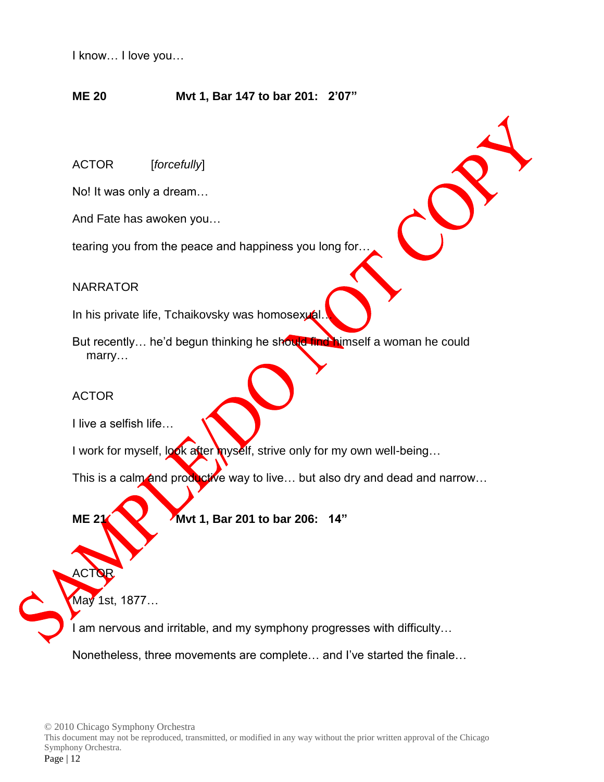I know… I love you…

#### **ME 20 Mvt 1, Bar 147 to bar 201: 2'07"**

ACTOR [*forcefully*]

No! It was only a dream…

And Fate has awoken you…

tearing you from the peace and happiness you long for…

#### NARRATOR

In his private life, Tchaikovsky was homosexual.

But recently... he'd begun thinking he should find himself a woman he could marry…

#### ACTOR

I live a selfish life…

I work for myself, look after myself, strive only for my own well-being...

This is a calm and productive way to live... but also dry and dead and narrow...

**ME 21 Mvt** 1, Bar 201 to bar 206: 14"

May 1st, 1877…

ACTOR.

I am nervous and irritable, and my symphony progresses with difficulty…

Nonetheless, three movements are complete… and I've started the finale…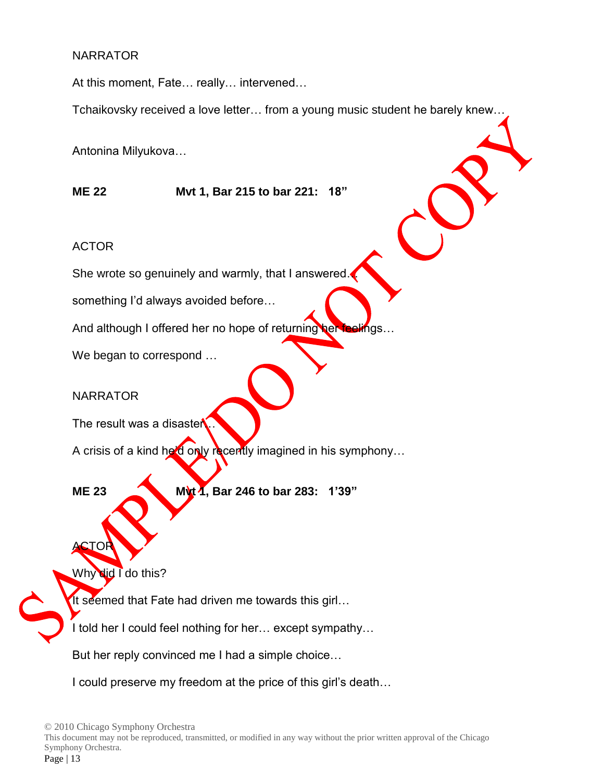At this moment, Fate… really… intervened…

Tchaikovsky received a love letter… from a young music student he barely knew…

Antonina Milyukova…

**ME 22 Mvt 1, Bar 215 to bar 221: 18"**

#### ACTOR

She wrote so genuinely and warmly, that I answered.

something I'd always avoided before…

And although I offered her no hope of returning her feelings...

We began to correspond …

#### NARRATOR

The result was a disaster

A crisis of a kind he'd only recently imagined in his symphony...

ACTOR

**ME 23 Mvt 1, Bar 246 to bar 283: 1'39"**

Why did I do this?

It seemed that Fate had driven me towards this girl...

I told her I could feel nothing for her... except sympathy...

But her reply convinced me I had a simple choice…

I could preserve my freedom at the price of this girl's death…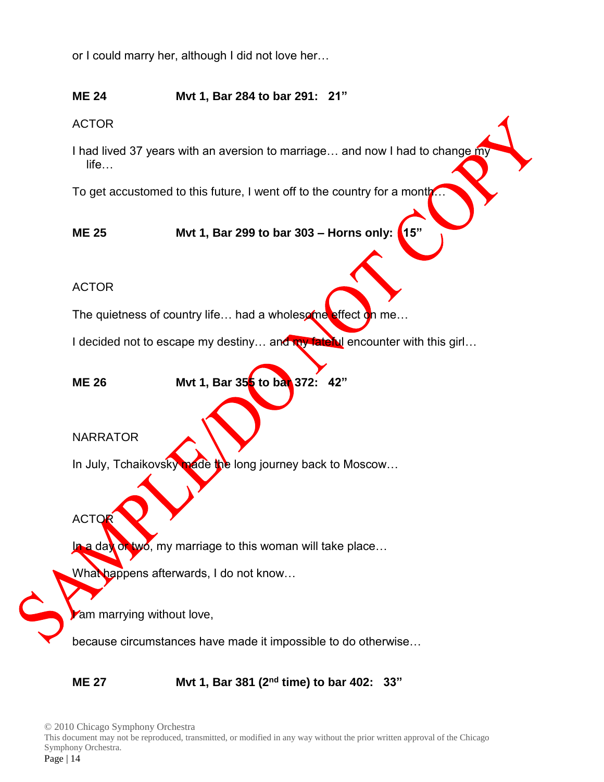or I could marry her, although I did not love her…

# **ME 24 Mvt 1, Bar 284 to bar 291: 21"**

ACTOR

I had lived 37 years with an aversion to marriage... and now I had to change my life…

To get accustomed to this future, I went off to the country for a month.

**ME 25 Mvt 1, Bar 299 to bar 303 – Horns only: 15"**

### ACTOR

The quietness of country life... had a wholesome effect on me...

I decided not to escape my destiny... and my fateful encounter with this girl...

**ME 26 Mvt 1, Bar 355 to bar 372: 42"**

#### NARRATOR

In July, Tchaikovsky made the long journey back to Moscow...

ACTOR

In a day or two, my marriage to this woman will take place...

What happens afterwards, I do not know...

am marrying without love,

because circumstances have made it impossible to do otherwise…

**ME 27 Mvt 1, Bar 381 (2nd time) to bar 402: 33"** 

© 2010 Chicago Symphony Orchestra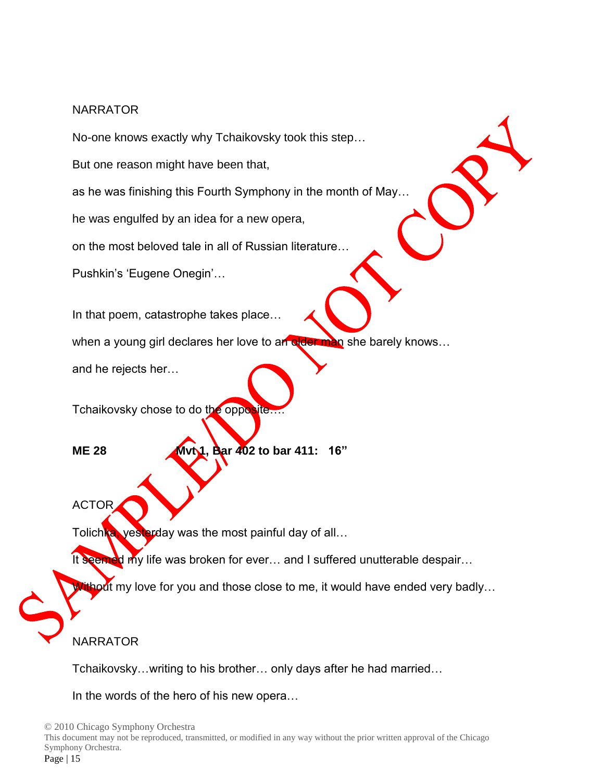No-one knows exactly why Tchaikovsky took this step… But one reason might have been that, as he was finishing this Fourth Symphony in the month of May… he was engulfed by an idea for a new opera, on the most beloved tale in all of Russian literature… Pushkin's 'Eugene Onegin'…

In that poem, catastrophe takes place…

when a young girl declares her love to an older man she barely knows...

and he rejects her…

Tchaikovsky chose to do the opposite...

**ME 28 M**vt 1, Bar 402 to bar 411: 16"

ACTOR

Tolichka, yesterday was the most painful day of all...

It seemed my life was broken for ever... and I suffered unutterable despair...

thout my love for you and those close to me, it would have ended very badly...

# **NARRATOR**

Tchaikovsky…writing to his brother… only days after he had married…

In the words of the hero of his new opera…

© 2010 Chicago Symphony Orchestra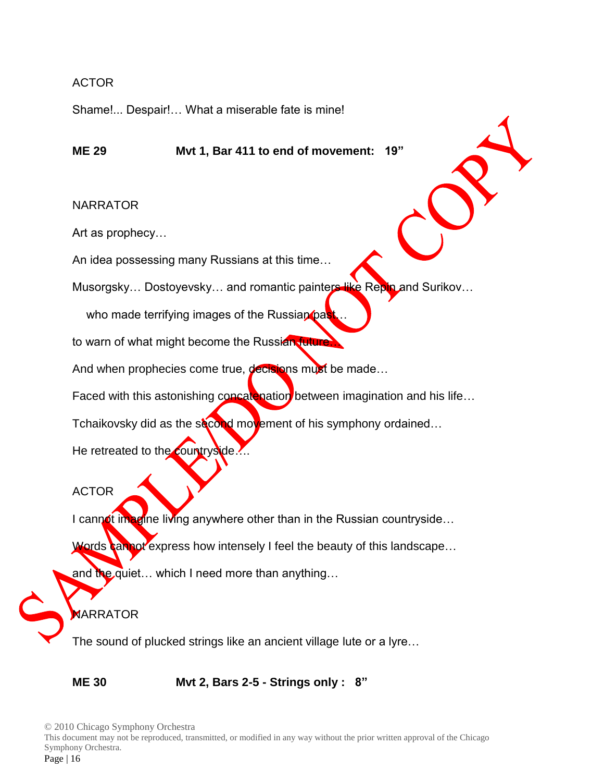#### ACTOR

Shame!... Despair!… What a miserable fate is mine!

**ME 29 Mvt 1, Bar 411 to end of movement: 19"**

#### NARRATOR

Art as prophecy…

An idea possessing many Russians at this time…

Musorgsky… Dostoyevsky… and romantic painters like Repin and Surikov…

who made terrifying images of the Russian past

to warn of what might become the Russian future

And when prophecies come true, decisions must be made...

Faced with this astonishing concatenation between imagination and his life...

Tchaikovsky did as the second movement of his symphony ordained...

He retreated to the countryside.

ACTOR

I cannot imagine living anywhere other than in the Russian countryside...

Words cannot express how intensely I feel the beauty of this landscape...

and the quiet... which I need more than anything...

# **MARRATOR**

The sound of plucked strings like an ancient village lute or a lyre…

**ME 30 Mvt 2, Bars 2-5 - Strings only : 8"**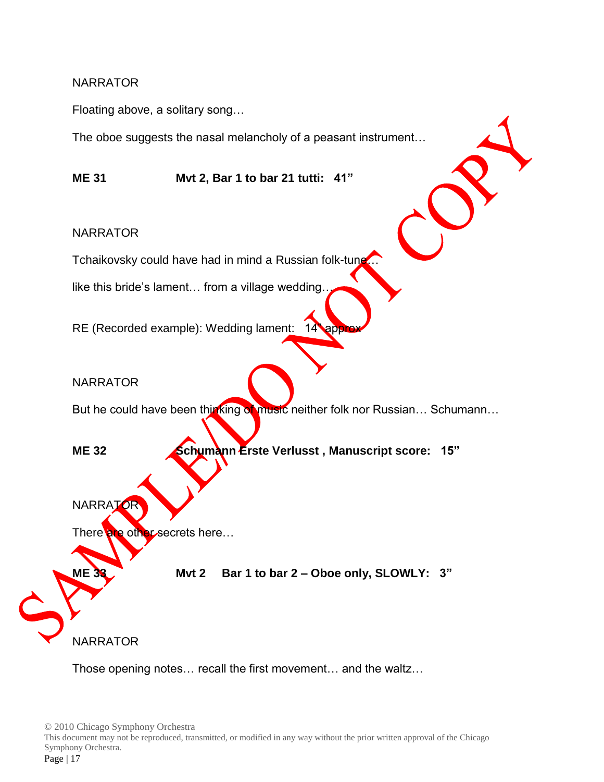Floating above, a solitary song…

The oboe suggests the nasal melancholy of a peasant instrument…

**ME 31 Mvt 2, Bar 1 to bar 21 tutti: 41"**

#### NARRATOR

Tchaikovsky could have had in mind a Russian folk-tung.

like this bride's lament... from a village wedding.

RE (Recorded example): Wedding lament:  $14$ 

#### **NARRATOR**

But he could have been thinking of music neither folk nor Russian... Schumann...

**ME 32 Schumann Erste Verlusst , Manuscript score: 15"** 

**NARRATOR** 

There are other secrets here...

Mvt 2 Bar 1 to bar 2 – Oboe only, SLOWLY: 3"

NARRATOR

Those opening notes… recall the first movement… and the waltz…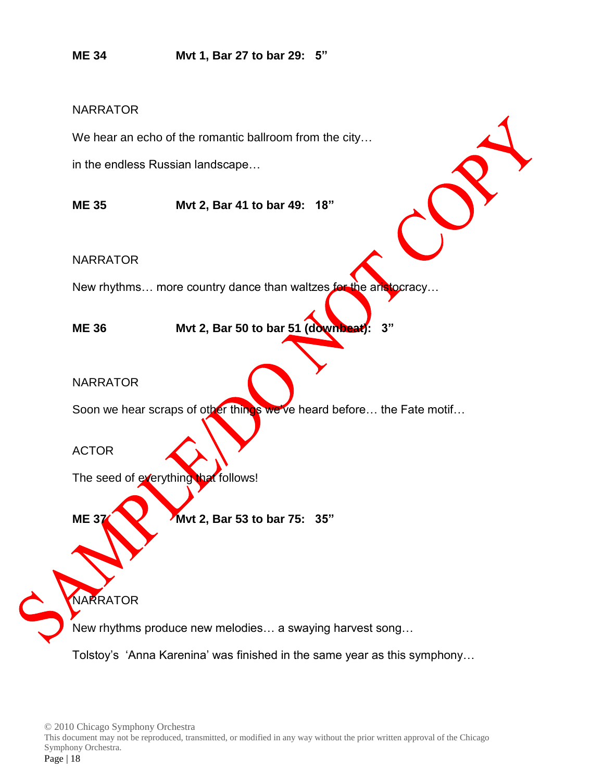**ME 34 Mvt 1, Bar 27 to bar 29: 5"**

#### **NARRATOR**

We hear an echo of the romantic ballroom from the city...

in the endless Russian landscape…

**ME 35 Mvt 2, Bar 41 to bar 49: 18"**

NARRATOR

New rhythms… more country dance than waltzes for the aristocracy…

**ME 36 Mvt 2, Bar 50 to bar 51 (downbeat): 3"**

**NARRATOR** 

Soon we hear scraps of other things we've heard before... the Fate motif...

ACTOR

**NARRATOR** 

The seed of everything that follows!

**ME 37 Mvt 2, Bar 53 to bar 75: 35"** 

New rhythms produce new melodies… a swaying harvest song…

Tolstoy's 'Anna Karenina' was finished in the same year as this symphony…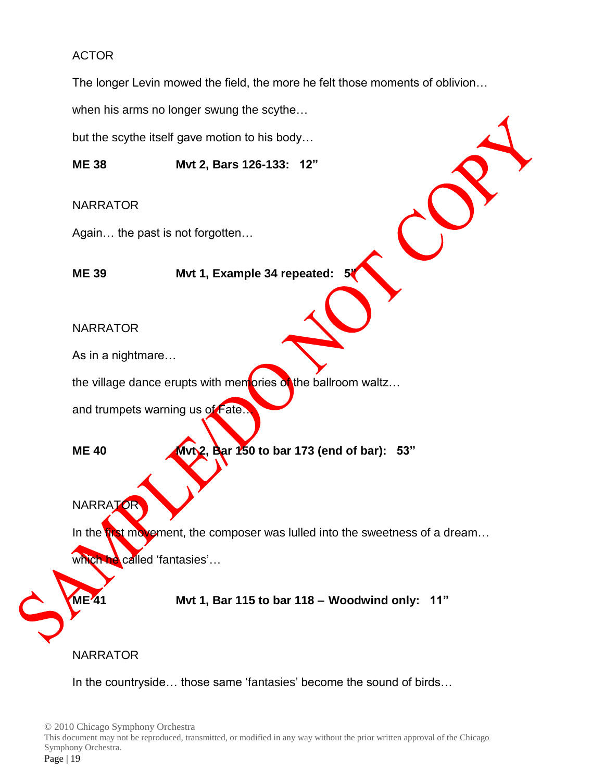### ACTOR

The longer Levin mowed the field, the more he felt those moments of oblivion…

when his arms no longer swung the scythe…

but the scythe itself gave motion to his body…

**ME 38 Mvt 2, Bars 126-133: 12"**

#### NARRATOR

Again… the past is not forgotten…

**ME 39 Mvt 1, Example 34 repeated: 5"**

#### NARRATOR

As in a nightmare…

the village dance erupts with memories  $\alpha$  the ballroom waltz...

and trumpets warning us of Fate…

**ME 40 Mvt2, Bar 150 to bar 173 (end of bar): 53"** 

**NARRATOR** 

In the **first movement**, the composer was lulled into the sweetness of a dream...

which he called 'fantasies'...

**ME 41 Mvt 1, Bar 115 to bar 118 – Woodwind only: 11"**

#### NARRATOR

In the countryside… those same 'fantasies' become the sound of birds…